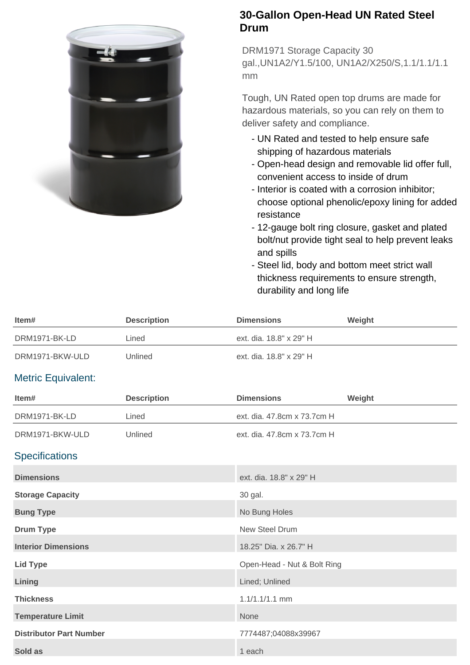

## **30-Gallon Open-Head UN Rated Steel Drum**

DRM1971 Storage Capacity 30 gal.,UN1A2/Y1.5/100, UN1A2/X250/S,1.1/1.1/1.1 mm

Tough, UN Rated open top drums are made for hazardous materials, so you can rely on them to deliver safety and compliance.

- UN Rated and tested to help ensure safe shipping of hazardous materials
- Open-head design and removable lid offer full, convenient access to inside of drum
- Interior is coated with a corrosion inhibitor; choose optional phenolic/epoxy lining for added resistance
- 12-gauge bolt ring closure, gasket and plated bolt/nut provide tight seal to help prevent leaks and spills
- Steel lid, body and bottom meet strict wall thickness requirements to ensure strength, durability and long life

| Item#                          | <b>Description</b> | <b>Dimensions</b>           | Weight |
|--------------------------------|--------------------|-----------------------------|--------|
| DRM1971-BK-LD                  | Lined              | ext. dia. 18.8" x 29" H     |        |
| DRM1971-BKW-ULD                | Unlined            | ext. dia. 18.8" x 29" H     |        |
| <b>Metric Equivalent:</b>      |                    |                             |        |
| Item#                          | <b>Description</b> | <b>Dimensions</b>           | Weight |
| DRM1971-BK-LD                  | Lined              | ext. dia. 47.8cm x 73.7cm H |        |
| DRM1971-BKW-ULD                | Unlined            | ext. dia. 47.8cm x 73.7cm H |        |
| <b>Specifications</b>          |                    |                             |        |
| <b>Dimensions</b>              |                    | ext. dia. 18.8" x 29" H     |        |
| <b>Storage Capacity</b>        |                    | 30 gal.                     |        |
| <b>Bung Type</b>               |                    | No Bung Holes               |        |
| <b>Drum Type</b>               |                    | New Steel Drum              |        |
| <b>Interior Dimensions</b>     |                    | 18.25" Dia. x 26.7" H       |        |
| <b>Lid Type</b>                |                    | Open-Head - Nut & Bolt Ring |        |
| Lining                         |                    | Lined; Unlined              |        |
| <b>Thickness</b>               |                    | 1.1/1.1/1.1 mm              |        |
| <b>Temperature Limit</b>       |                    | None                        |        |
| <b>Distributor Part Number</b> |                    | 7774487;04088x39967         |        |
| Sold as                        |                    | 1 each                      |        |